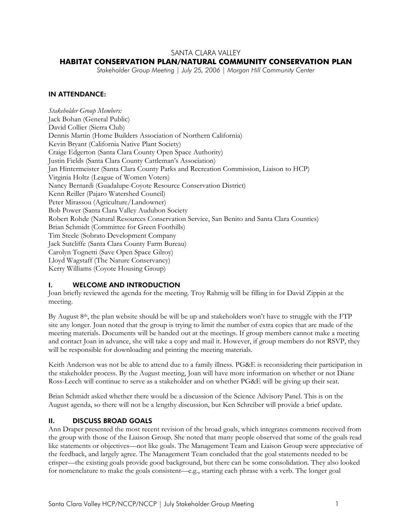### SANTA CLARA VALLEY

#### **HABITAT CONSERVATION PLAN/NATURAL COMMUNITY CONSERVATION PLAN**

*Stakeholder Group Meeting | July 25, 2006 | Morgan Hill Community Center* 

#### IN ATTENDANCE:

*Stakeholder Group Members:*  Jack Bohan (General Public) David Collier (Sierra Club) Dennis Martin (Home Builders Association of Northern California) Kevin Bryant (California Native Plant Society) Craige Edgerton (Santa Clara County Open Space Authority) Justin Fields (Santa Clara County Cattleman's Association) Jan Hintermeister (Santa Clara County Parks and Recreation Commission, Liaison to HCP) Virginia Holtz (League of Women Voters) Nancy Bernardi (Guadalupe-Coyote Resource Conservation District) Kenn Reiller (Pajaro Watershed Council) Peter Mirassou (Agriculture/Landowner) Bob Power (Santa Clara Valley Audubon Society Robert Rohde (Natural Resources Conservation Service, San Benito and Santa Clara Counties) Brian Schmidt (Committee for Green Foothills) Tim Steele (Sobrato Development Company Jack Sutcliffe (Santa Clara County Farm Bureau) Carolyn Tognetti (Save Open Space Gilroy) Lloyd Wagstaff (The Nature Conservancy) Kerry Williams (Coyote Housing Group)

#### I. WELCOME AND INTRODUCTION

Joan briefly reviewed the agenda for the meeting. Troy Rahmig will be filling in for David Zippin at the meeting.

By August 8th, the plan website should be will be up and stakeholders won't have to struggle with the FTP site any longer. Joan noted that the group is trying to limit the number of extra copies that are made of the meeting materials. Documents will be handed out at the meetings. If group members cannot make a meeting and contact Joan in advance, she will take a copy and mail it. However, if group members do not RSVP, they will be responsible for downloading and printing the meeting materials.

Keith Anderson was not be able to attend due to a family illness. PG&E is reconsidering their participation in the stakeholder process. By the August meeting, Joan will have more information on whether or not Diane Ross-Leech will continue to serve as a stakeholder and on whether PG&E will be giving up their seat.

Brian Schmidt asked whether there would be a discussion of the Science Advisory Panel. This is on the August agenda, so there will not be a lengthy discussion, but Ken Schreiber will provide a brief update.

#### II. DISCUSS BROAD GOALS

Ann Draper presented the most recent revision of the broad goals, which integrates comments received from the group with those of the Liaison Group. She noted that many people observed that some of the goals read like statements or objectives—not like goals. The Management Team and Liaison Group were appreciative of the feedback, and largely agree. The Management Team concluded that the goal statements needed to be crisper—the existing goals provide good background, but there can be some consolidation. They also looked for nomenclature to make the goals consistent—e.g., starting each phrase with a verb. The longer goal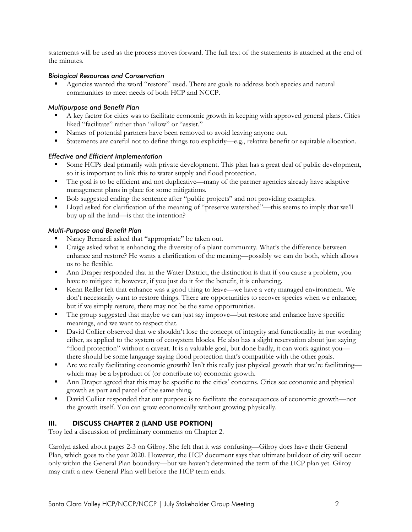statements will be used as the process moves forward. The full text of the statements is attached at the end of the minutes.

#### *Biological Resources and Conservation*

 Agencies wanted the word "restore" used. There are goals to address both species and natural communities to meet needs of both HCP and NCCP.

### *Multipurpose and Benefit Plan*

- A key factor for cities was to facilitate economic growth in keeping with approved general plans. Cities liked "facilitate" rather than "allow" or "assist."
- Names of potential partners have been removed to avoid leaving anyone out.
- Statements are careful not to define things too explicitly—e.g., relative benefit or equitable allocation.

### *Effective and Efficient Implementation*

- Some HCPs deal primarily with private development. This plan has a great deal of public development, so it is important to link this to water supply and flood protection.
- The goal is to be efficient and not duplicative—many of the partner agencies already have adaptive management plans in place for some mitigations.
- Bob suggested ending the sentence after "public projects" and not providing examples.
- Lloyd asked for clarification of the meaning of "preserve watershed"—this seems to imply that we'll buy up all the land—is that the intention?

### *Multi-Purpose and Benefit Plan*

- Nancy Bernardi asked that "appropriate" be taken out.
- Craige asked what is enhancing the diversity of a plant community. What's the difference between enhance and restore? He wants a clarification of the meaning—possibly we can do both, which allows us to be flexible.
- Ann Draper responded that in the Water District, the distinction is that if you cause a problem, you have to mitigate it; however, if you just do it for the benefit, it is enhancing.
- Kenn Reiller felt that enhance was a good thing to leave—we have a very managed environment. We don't necessarily want to restore things. There are opportunities to recover species when we enhance; but if we simply restore, there may not be the same opportunities.
- The group suggested that maybe we can just say improve—but restore and enhance have specific meanings, and we want to respect that.
- David Collier observed that we shouldn't lose the concept of integrity and functionality in our wording either, as applied to the system of ecosystem blocks. He also has a slight reservation about just saying "flood protection" without a caveat. It is a valuable goal, but done badly, it can work against you there should be some language saying flood protection that's compatible with the other goals.
- Are we really facilitating economic growth? Isn't this really just physical growth that we're facilitating which may be a byproduct of (or contribute to) economic growth.
- Ann Draper agreed that this may be specific to the cities' concerns. Cities see economic and physical growth as part and parcel of the same thing.
- David Collier responded that our purpose is to facilitate the consequences of economic growth—not the growth itself. You can grow economically without growing physically.

## III. DISCUSS CHAPTER 2 (LAND USE PORTION)

Troy led a discussion of preliminary comments on Chapter 2.

Carolyn asked about pages 2-3 on Gilroy. She felt that it was confusing—Gilroy does have their General Plan, which goes to the year 2020. However, the HCP document says that ultimate buildout of city will occur only within the General Plan boundary—but we haven't determined the term of the HCP plan yet. Gilroy may craft a new General Plan well before the HCP term ends.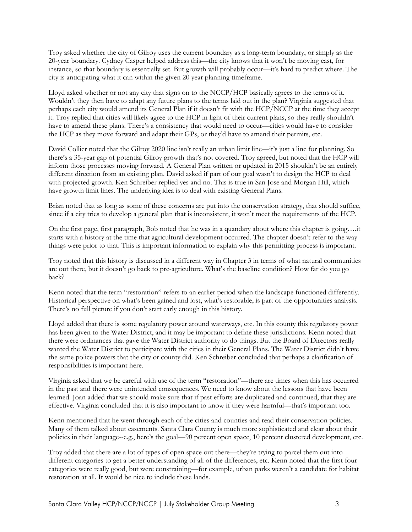Troy asked whether the city of Gilroy uses the current boundary as a long-term boundary, or simply as the 20-year boundary. Cydney Casper helped address this—the city knows that it won't be moving east, for instance, so that boundary is essentially set. But growth will probably occur—it's hard to predict where. The city is anticipating what it can within the given 20 year planning timeframe.

Lloyd asked whether or not any city that signs on to the NCCP/HCP basically agrees to the terms of it. Wouldn't they then have to adapt any future plans to the terms laid out in the plan? Virginia suggested that perhaps each city would amend its General Plan if it doesn't fit with the HCP/NCCP at the time they accept it. Troy replied that cities will likely agree to the HCP in light of their current plans, so they really shouldn't have to amend these plans. There's a consistency that would need to occur—cities would have to consider the HCP as they move forward and adapt their GPs, or they'd have to amend their permits, etc.

David Collier noted that the Gilroy 2020 line isn't really an urban limit line—it's just a line for planning. So there's a 35-year gap of potential Gilroy growth that's not covered. Troy agreed, but noted that the HCP will inform those processes moving forward. A General Plan written or updated in 2015 shouldn't be an entirely different direction from an existing plan. David asked if part of our goal wasn't to design the HCP to deal with projected growth. Ken Schreiber replied yes and no. This is true in San Jose and Morgan Hill, which have growth limit lines. The underlying idea is to deal with existing General Plans.

Brian noted that as long as some of these concerns are put into the conservation strategy, that should suffice, since if a city tries to develop a general plan that is inconsistent, it won't meet the requirements of the HCP.

On the first page, first paragraph, Bob noted that he was in a quandary about where this chapter is going….it starts with a history at the time that agricultural development occurred. The chapter doesn't refer to the way things were prior to that. This is important information to explain why this permitting process is important.

Troy noted that this history is discussed in a different way in Chapter 3 in terms of what natural communities are out there, but it doesn't go back to pre-agriculture. What's the baseline condition? How far do you go back?

Kenn noted that the term "restoration" refers to an earlier period when the landscape functioned differently. Historical perspective on what's been gained and lost, what's restorable, is part of the opportunities analysis. There's no full picture if you don't start early enough in this history.

Lloyd added that there is some regulatory power around waterways, etc. In this county this regulatory power has been given to the Water District, and it may be important to define these jurisdictions. Kenn noted that there were ordinances that gave the Water District authority to do things. But the Board of Directors really wanted the Water District to participate with the cities in their General Plans. The Water District didn't have the same police powers that the city or county did. Ken Schreiber concluded that perhaps a clarification of responsibilities is important here.

Virginia asked that we be careful with use of the term "restoration"—there are times when this has occurred in the past and there were unintended consequences. We need to know about the lessons that have been learned. Joan added that we should make sure that if past efforts are duplicated and continued, that they are effective. Virginia concluded that it is also important to know if they were harmful—that's important too.

Kenn mentioned that he went through each of the cities and counties and read their conservation policies. Many of them talked about easements. Santa Clara County is much more sophisticated and clear about their policies in their language--e.g., here's the goal—90 percent open space, 10 percent clustered development, etc.

Troy added that there are a lot of types of open space out there—they're trying to parcel them out into different categories to get a better understanding of all of the differences, etc. Kenn noted that the first four categories were really good, but were constraining—for example, urban parks weren't a candidate for habitat restoration at all. It would be nice to include these lands.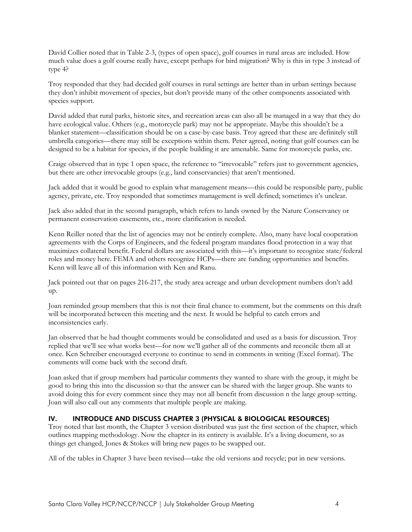David Collier noted that in Table 2-3, (types of open space), golf courses in rural areas are included. How much value does a golf course really have, except perhaps for bird migration? Why is this in type 3 instead of type 4?

Troy responded that they had decided golf courses in rural settings are better than in urban settings because they don't inhibit movement of species, but don't provide many of the other components associated with species support.

David added that rural parks, historic sites, and recreation areas can also all be managed in a way that they do have ecological value. Others (e.g., motorcycle park) may not be appropriate. Maybe this shouldn't be a blanket statement—classification should be on a case-by-case basis. Troy agreed that these are definitely still umbrella categories—there may still be exceptions within them. Peter agreed, noting that golf courses can be designed to be a habitat for species, if the people building it are amenable. Same for motorcycle parks, etc.

Craige observed that in type 1 open space, the reference to "irrevocable" refers just to government agencies, but there are other irrevocable groups (e.g., land conservancies) that aren't mentioned.

Jack added that it would be good to explain what management means—this could be responsible party, public agency, private, etc. Troy responded that sometimes management is well defined; sometimes it's unclear.

Jack also added that in the second paragraph, which refers to lands owned by the Nature Conservancy or permanent conservation easements, etc., more clarification is needed.

Kenn Reiller noted that the list of agencies may not be entirely complete. Also, many have local cooperation agreements with the Corps of Engineers, and the federal program mandates flood protection in a way that maximizes collateral benefit. Federal dollars are associated with this—it's important to recognize state/federal roles and money here. FEMA and others recognize HCPs—there are funding opportunities and benefits. Kenn will leave all of this information with Ken and Ranu.

Jack pointed out that on pages 216-217, the study area acreage and urban development numbers don't add up.

Joan reminded group members that this is not their final chance to comment, but the comments on this draft will be incorporated between this meeting and the next. It would be helpful to catch errors and inconsistencies early.

Jan observed that he had thought comments would be consolidated and used as a basis for discussion. Troy replied that we'll see what works best—for now we'll gather all of the comments and reconcile them all at once. Ken Schreiber encouraged everyone to continue to send in comments in writing (Excel format). The comments will come back with the second draft.

Joan asked that if group members had particular comments they wanted to share with the group, it might be good to bring this into the discussion so that the answer can be shared with the larger group. She wants to avoid doing this for every comment since they may not all benefit from discussion n the large group setting. Joan will also call out any comments that multiple people are making.

#### IV. INTRODUCE AND DISCUSS CHAPTER 3 (PHYSICAL & BIOLOGICAL RESOURCES)

Troy noted that last month, the Chapter 3 version distributed was just the first section of the chapter, which outlines mapping methodology. Now the chapter in its entirety is available. It's a living document, so as things get changed, Jones & Stokes will bring new pages to be swapped out.

All of the tables in Chapter 3 have been revised—take the old versions and recycle; put in new versions.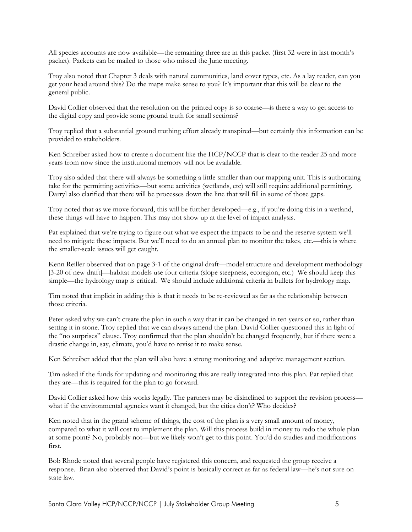All species accounts are now available—the remaining three are in this packet (first 32 were in last month's packet). Packets can be mailed to those who missed the June meeting.

Troy also noted that Chapter 3 deals with natural communities, land cover types, etc. As a lay reader, can you get your head around this? Do the maps make sense to you? It's important that this will be clear to the general public.

David Collier observed that the resolution on the printed copy is so coarse—is there a way to get access to the digital copy and provide some ground truth for small sections?

Troy replied that a substantial ground truthing effort already transpired—but certainly this information can be provided to stakeholders.

Ken Schreiber asked how to create a document like the HCP/NCCP that is clear to the reader 25 and more years from now since the institutional memory will not be available.

Troy also added that there will always be something a little smaller than our mapping unit. This is authorizing take for the permitting activities—but some activities (wetlands, etc) will still require additional permitting. Darryl also clarified that there will be processes down the line that will fill in some of those gaps.

Troy noted that as we move forward, this will be further developed—e.g., if you're doing this in a wetland, these things will have to happen. This may not show up at the level of impact analysis.

Pat explained that we're trying to figure out what we expect the impacts to be and the reserve system we'll need to mitigate these impacts. But we'll need to do an annual plan to monitor the takes, etc.—this is where the smaller-scale issues will get caught.

Kenn Reiller observed that on page 3-1 of the original draft—model structure and development methodology [3-20 of new draft]—habitat models use four criteria (slope steepness, ecoregion, etc.) We should keep this simple—the hydrology map is critical. We should include additional criteria in bullets for hydrology map.

Tim noted that implicit in adding this is that it needs to be re-reviewed as far as the relationship between those criteria.

Peter asked why we can't create the plan in such a way that it can be changed in ten years or so, rather than setting it in stone. Troy replied that we can always amend the plan. David Collier questioned this in light of the "no surprises" clause. Troy confirmed that the plan shouldn't be changed frequently, but if there were a drastic change in, say, climate, you'd have to revise it to make sense.

Ken Schreiber added that the plan will also have a strong monitoring and adaptive management section.

Tim asked if the funds for updating and monitoring this are really integrated into this plan. Pat replied that they are—this is required for the plan to go forward.

David Collier asked how this works legally. The partners may be disinclined to support the revision process what if the environmental agencies want it changed, but the cities don't? Who decides?

Ken noted that in the grand scheme of things, the cost of the plan is a very small amount of money, compared to what it will cost to implement the plan. Will this process build in money to redo the whole plan at some point? No, probably not—but we likely won't get to this point. You'd do studies and modifications first.

Bob Rhode noted that several people have registered this concern, and requested the group receive a response. Brian also observed that David's point is basically correct as far as federal law—he's not sure on state law.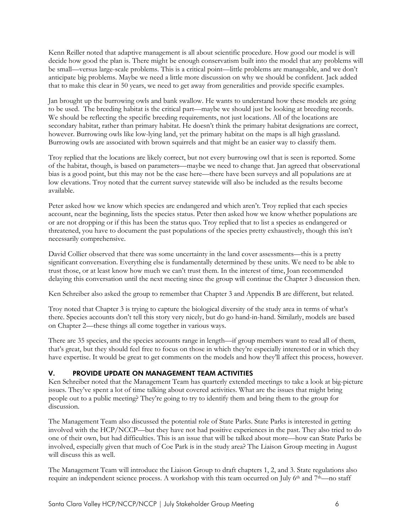Kenn Reiller noted that adaptive management is all about scientific procedure. How good our model is will decide how good the plan is. There might be enough conservatism built into the model that any problems will be small—versus large-scale problems. This is a critical point—little problems are manageable, and we don't anticipate big problems. Maybe we need a little more discussion on why we should be confident. Jack added that to make this clear in 50 years, we need to get away from generalities and provide specific examples.

Jan brought up the burrowing owls and bank swallow. He wants to understand how these models are going to be used. The breeding habitat is the critical part—maybe we should just be looking at breeding records. We should be reflecting the specific breeding requirements, not just locations. All of the locations are secondary habitat, rather than primary habitat. He doesn't think the primary habitat designations are correct, however. Burrowing owls like low-lying land, yet the primary habitat on the maps is all high grassland. Burrowing owls are associated with brown squirrels and that might be an easier way to classify them.

Troy replied that the locations are likely correct, but not every burrowing owl that is seen is reported. Some of the habitat, though, is based on parameters—maybe we need to change that. Jan agreed that observational bias is a good point, but this may not be the case here—there have been surveys and all populations are at low elevations. Troy noted that the current survey statewide will also be included as the results become available.

Peter asked how we know which species are endangered and which aren't. Troy replied that each species account, near the beginning, lists the species status. Peter then asked how we know whether populations are or are not dropping or if this has been the status quo. Troy replied that to list a species as endangered or threatened, you have to document the past populations of the species pretty exhaustively, though this isn't necessarily comprehensive.

David Collier observed that there was some uncertainty in the land cover assessments—this is a pretty significant conversation. Everything else is fundamentally determined by these units. We need to be able to trust those, or at least know how much we can't trust them. In the interest of time, Joan recommended delaying this conversation until the next meeting since the group will continue the Chapter 3 discussion then.

Ken Schreiber also asked the group to remember that Chapter 3 and Appendix B are different, but related.

Troy noted that Chapter 3 is trying to capture the biological diversity of the study area in terms of what's there. Species accounts don't tell this story very nicely, but do go hand-in-hand. Similarly, models are based on Chapter 2—these things all come together in various ways.

There are 35 species, and the species accounts range in length—if group members want to read all of them, that's great, but they should feel free to focus on those in which they're especially interested or in which they have expertise. It would be great to get comments on the models and how they'll affect this process, however.

## V. PROVIDE UPDATE ON MANAGEMENT TEAM ACTIVITIES

Ken Schreiber noted that the Management Team has quarterly extended meetings to take a look at big-picture issues. They've spent a lot of time talking about covered activities. What are the issues that might bring people out to a public meeting? They're going to try to identify them and bring them to the group for discussion.

The Management Team also discussed the potential role of State Parks. State Parks is interested in getting involved with the HCP/NCCP—but they have not had positive experiences in the past. They also tried to do one of their own, but had difficulties. This is an issue that will be talked about more—how can State Parks be involved, especially given that much of Coe Park is in the study area? The Liaison Group meeting in August will discuss this as well.

The Management Team will introduce the Liaison Group to draft chapters 1, 2, and 3. State regulations also require an independent science process. A workshop with this team occurred on July 6<sup>th</sup> and 7<sup>th</sup>—no staff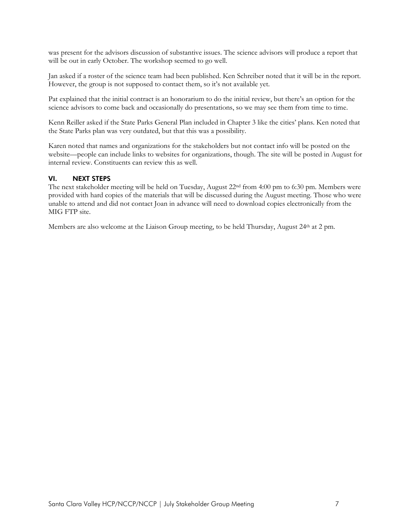was present for the advisors discussion of substantive issues. The science advisors will produce a report that will be out in early October. The workshop seemed to go well.

Jan asked if a roster of the science team had been published. Ken Schreiber noted that it will be in the report. However, the group is not supposed to contact them, so it's not available yet.

Pat explained that the initial contract is an honorarium to do the initial review, but there's an option for the science advisors to come back and occasionally do presentations, so we may see them from time to time.

Kenn Reiller asked if the State Parks General Plan included in Chapter 3 like the cities' plans. Ken noted that the State Parks plan was very outdated, but that this was a possibility.

Karen noted that names and organizations for the stakeholders but not contact info will be posted on the website—people can include links to websites for organizations, though. The site will be posted in August for internal review. Constituents can review this as well.

#### VI. NEXT STEPS

The next stakeholder meeting will be held on Tuesday, August 22nd from 4:00 pm to 6:30 pm. Members were provided with hard copies of the materials that will be discussed during the August meeting. Those who were unable to attend and did not contact Joan in advance will need to download copies electronically from the MIG FTP site.

Members are also welcome at the Liaison Group meeting, to be held Thursday, August 24<sup>th</sup> at 2 pm.